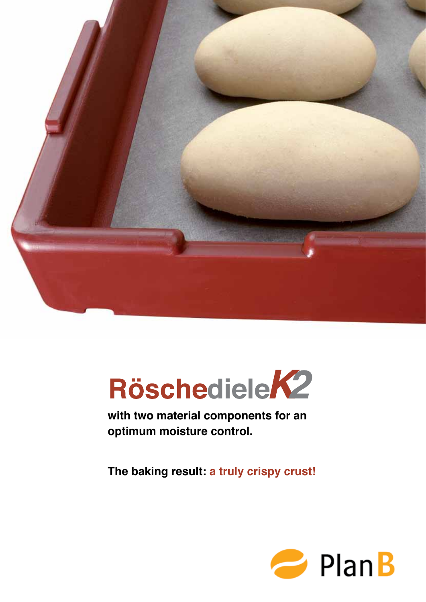



**with two material components for an optimum moisture control.**

**The baking result: a truly crispy crust!**

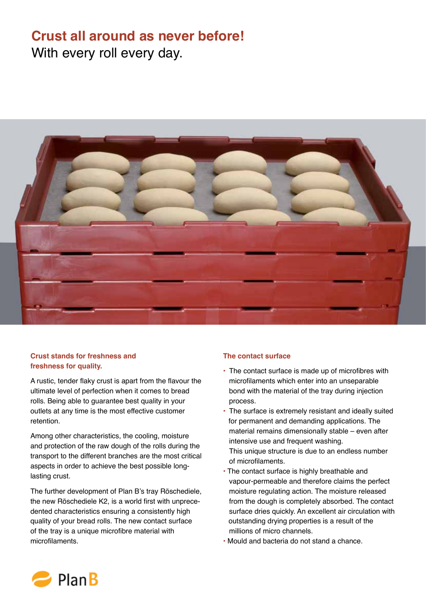# **Crust all around as never before!** With every roll every day.



## **Crust stands for freshness and freshness for quality.**

A rustic, tender flaky crust is apart from the flavour the ultimate level of perfection when it comes to bread rolls. Being able to guarantee best quality in your outlets at any time is the most effective customer retention.

Among other characteristics, the cooling, moisture and protection of the raw dough of the rolls during the transport to the different branches are the most critical aspects in order to achieve the best possible longlasting crust.

The further development of Plan B's tray Röschediele, the new Röschediele K2, is a world first with unprecedented characteristics ensuring a consistently high quality of your bread rolls. The new contact surface of the tray is a unique microfibre material with microfilaments.

## **The contact surface**

- The contact surface is made up of microfibres with microfilaments which enter into an unseparable bond with the material of the tray during injection process.
- The surface is extremely resistant and ideally suited for permanent and demanding applications. The material remains dimensionally stable – even after intensive use and frequent washing. This unique structure is due to an endless number of microfilaments.
- The contact surface is highly breathable and vapour-permeable and therefore claims the perfect moisture regulating action. The moisture released from the dough is completely absorbed. The contact surface dries quickly. An excellent air circulation with outstanding drying properties is a result of the millions of micro channels.
- Mould and bacteria do not stand a chance.

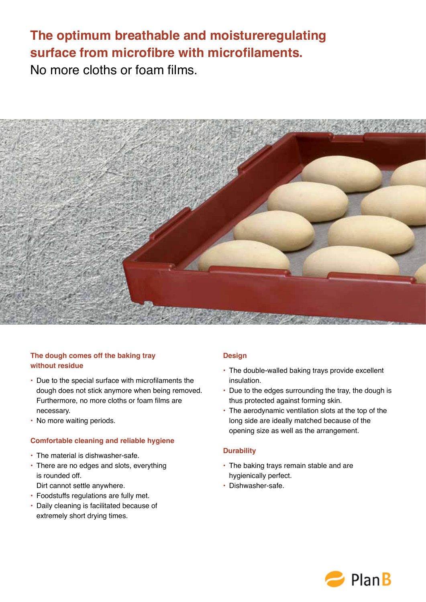# **The optimum breathable and moistureregulating surface from microfibre with microfilaments.** No more cloths or foam films.



## **The dough comes off the baking tray without residue**

- Due to the special surface with microfilaments the dough does not stick anymore when being removed. Furthermore, no more cloths or foam films are necessary.
- No more waiting periods.

#### **Comfortable cleaning and reliable hygiene**

- The material is dishwasher-safe.
- There are no edges and slots, everything is rounded off.

Dirt cannot settle anywhere.

- Foodstuffs regulations are fully met.
- Daily cleaning is facilitated because of extremely short drying times.

#### **Design**

- The double-walled baking trays provide excellent insulation.
- Due to the edges surrounding the tray, the dough is thus protected against forming skin.
- The aerodynamic ventilation slots at the top of the long side are ideally matched because of the opening size as well as the arrangement.

#### **Durability**

- The baking trays remain stable and are hygienically perfect.
- Dishwasher-safe.